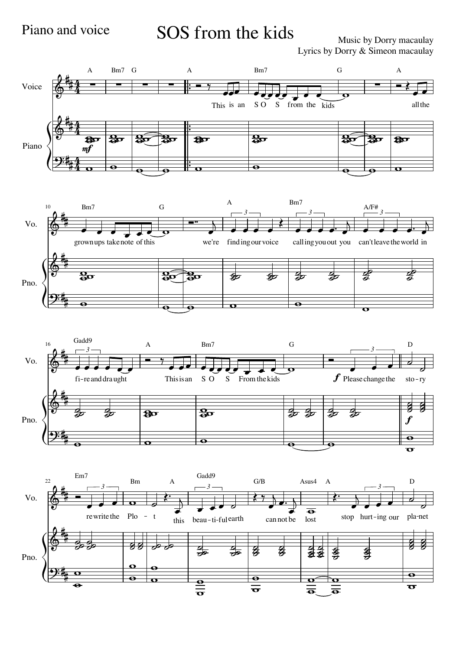## Piano and voice SOS from the kids<br>Music by Dorry macaulay

Music by Dorry macaulay Lyrics by Dorry & Simeon macaulay

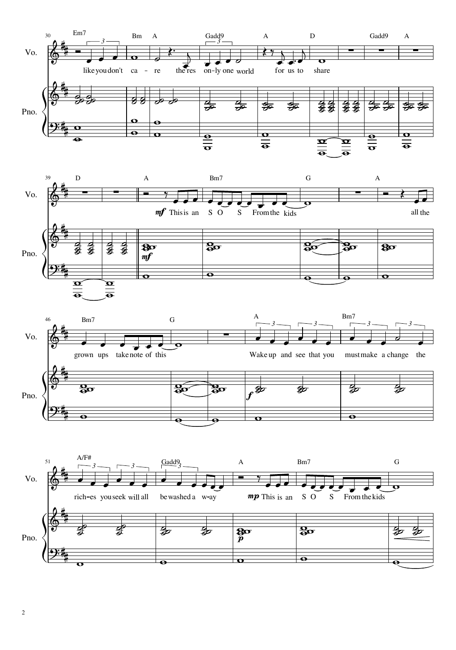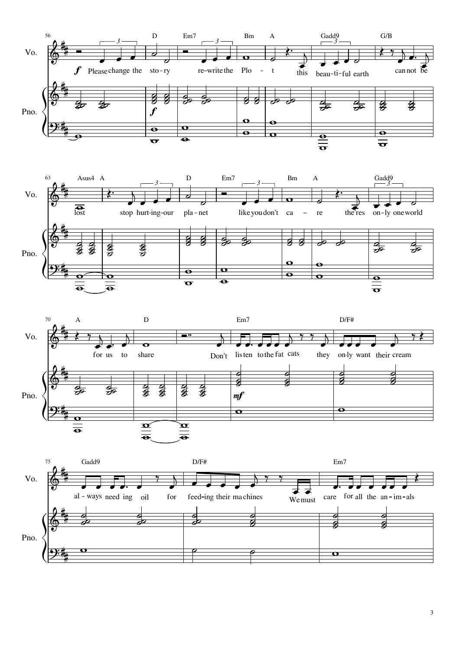



 $\overline{3}$